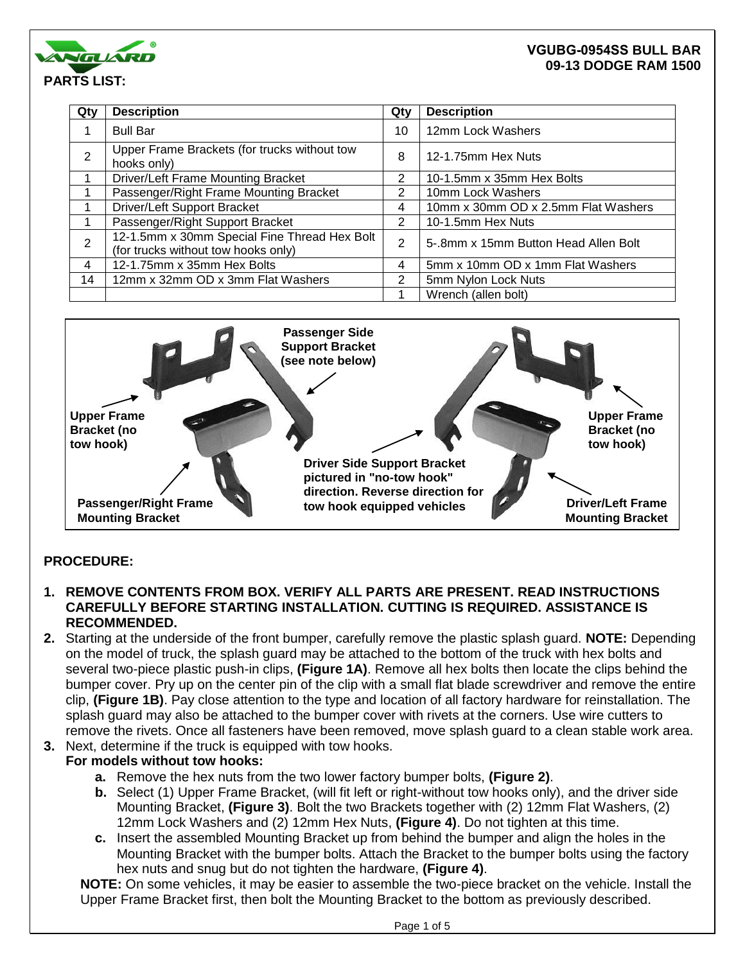

| Qty            | <b>Description</b>                                                                  | Qty | <b>Description</b>                   |
|----------------|-------------------------------------------------------------------------------------|-----|--------------------------------------|
|                | <b>Bull Bar</b>                                                                     | 10  | 12mm Lock Washers                    |
| $\overline{2}$ | Upper Frame Brackets (for trucks without tow<br>hooks only)                         | 8   | 12-1.75mm Hex Nuts                   |
|                | Driver/Left Frame Mounting Bracket                                                  | 2   | 10-1.5mm x 35mm Hex Bolts            |
|                | Passenger/Right Frame Mounting Bracket                                              | 2   | 10mm Lock Washers                    |
|                | Driver/Left Support Bracket                                                         | 4   | 10mm x 30mm OD x 2.5mm Flat Washers  |
|                | Passenger/Right Support Bracket                                                     | 2   | 10-1.5mm Hex Nuts                    |
| 2              | 12-1.5mm x 30mm Special Fine Thread Hex Bolt<br>(for trucks without tow hooks only) | 2   | 5-.8mm x 15mm Button Head Allen Bolt |
| 4              | 12-1.75mm x 35mm Hex Bolts                                                          | 4   | 5mm x 10mm OD x 1mm Flat Washers     |
| 14             | 12mm x 32mm OD x 3mm Flat Washers                                                   | 2   | 5mm Nylon Lock Nuts                  |
|                |                                                                                     |     | Wrench (allen bolt)                  |



# **PROCEDURE:**

- **1. REMOVE CONTENTS FROM BOX. VERIFY ALL PARTS ARE PRESENT. READ INSTRUCTIONS CAREFULLY BEFORE STARTING INSTALLATION. CUTTING IS REQUIRED. ASSISTANCE IS RECOMMENDED.**
- **2.** Starting at the underside of the front bumper, carefully remove the plastic splash guard. **NOTE:** Depending on the model of truck, the splash guard may be attached to the bottom of the truck with hex bolts and several two-piece plastic push-in clips, **(Figure 1A)**. Remove all hex bolts then locate the clips behind the bumper cover. Pry up on the center pin of the clip with a small flat blade screwdriver and remove the entire clip, **(Figure 1B)**. Pay close attention to the type and location of all factory hardware for reinstallation. The splash guard may also be attached to the bumper cover with rivets at the corners. Use wire cutters to remove the rivets. Once all fasteners have been removed, move splash guard to a clean stable work area.
- **3.** Next, determine if the truck is equipped with tow hooks.

## **For models without tow hooks:**

- **a.** Remove the hex nuts from the two lower factory bumper bolts, **(Figure 2)**.
- **b.** Select (1) Upper Frame Bracket, (will fit left or right-without tow hooks only), and the driver side Mounting Bracket, **(Figure 3)**. Bolt the two Brackets together with (2) 12mm Flat Washers, (2) 12mm Lock Washers and (2) 12mm Hex Nuts, **(Figure 4)**. Do not tighten at this time.
- **c.** Insert the assembled Mounting Bracket up from behind the bumper and align the holes in the Mounting Bracket with the bumper bolts. Attach the Bracket to the bumper bolts using the factory hex nuts and snug but do not tighten the hardware, **(Figure 4)**.

**NOTE:** On some vehicles, it may be easier to assemble the two-piece bracket on the vehicle. Install the Upper Frame Bracket first, then bolt the Mounting Bracket to the bottom as previously described.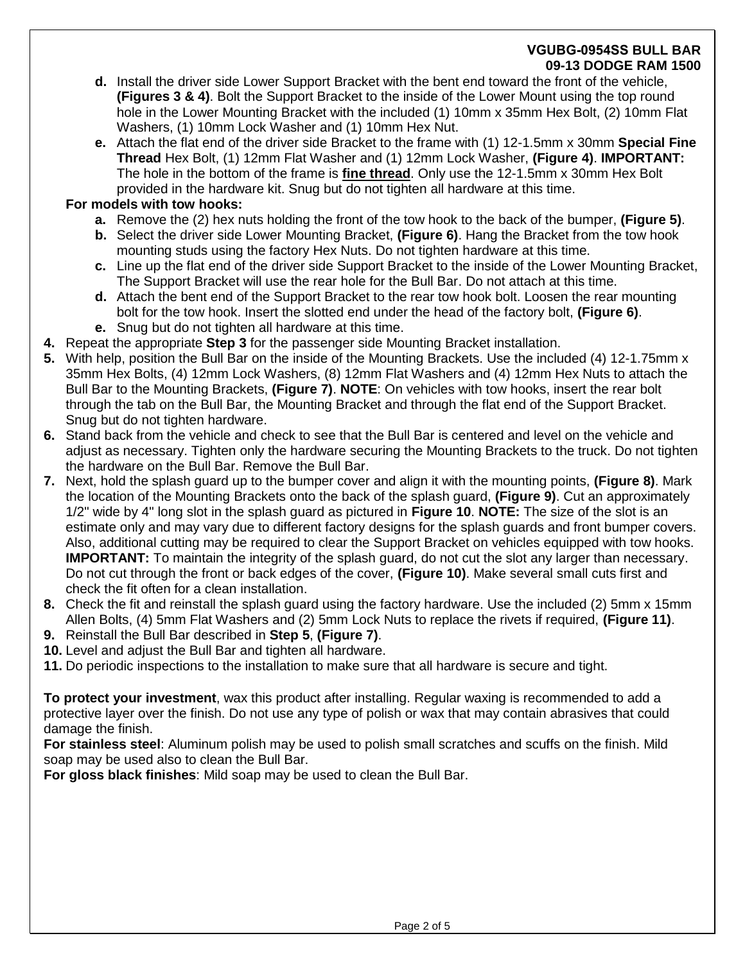- **d.** Install the driver side Lower Support Bracket with the bent end toward the front of the vehicle, **(Figures 3 & 4)**. Bolt the Support Bracket to the inside of the Lower Mount using the top round hole in the Lower Mounting Bracket with the included (1) 10mm x 35mm Hex Bolt, (2) 10mm Flat Washers, (1) 10mm Lock Washer and (1) 10mm Hex Nut.
- **e.** Attach the flat end of the driver side Bracket to the frame with (1) 12-1.5mm x 30mm **Special Fine Thread** Hex Bolt, (1) 12mm Flat Washer and (1) 12mm Lock Washer, **(Figure 4)**. **IMPORTANT:** The hole in the bottom of the frame is **fine thread**. Only use the 12-1.5mm x 30mm Hex Bolt provided in the hardware kit. Snug but do not tighten all hardware at this time.

# **For models with tow hooks:**

- **a.** Remove the (2) hex nuts holding the front of the tow hook to the back of the bumper, **(Figure 5)**.
- **b.** Select the driver side Lower Mounting Bracket, **(Figure 6)**. Hang the Bracket from the tow hook mounting studs using the factory Hex Nuts. Do not tighten hardware at this time.
- **c.** Line up the flat end of the driver side Support Bracket to the inside of the Lower Mounting Bracket, The Support Bracket will use the rear hole for the Bull Bar. Do not attach at this time.
- **d.** Attach the bent end of the Support Bracket to the rear tow hook bolt. Loosen the rear mounting bolt for the tow hook. Insert the slotted end under the head of the factory bolt, **(Figure 6)**. **e.** Snug but do not tighten all hardware at this time.
- **4.** Repeat the appropriate **Step 3** for the passenger side Mounting Bracket installation.
- **5.** With help, position the Bull Bar on the inside of the Mounting Brackets. Use the included (4) 12-1.75mm x 35mm Hex Bolts, (4) 12mm Lock Washers, (8) 12mm Flat Washers and (4) 12mm Hex Nuts to attach the Bull Bar to the Mounting Brackets, **(Figure 7)**. **NOTE**: On vehicles with tow hooks, insert the rear bolt through the tab on the Bull Bar, the Mounting Bracket and through the flat end of the Support Bracket. Snug but do not tighten hardware.
- **6.** Stand back from the vehicle and check to see that the Bull Bar is centered and level on the vehicle and adjust as necessary. Tighten only the hardware securing the Mounting Brackets to the truck. Do not tighten the hardware on the Bull Bar. Remove the Bull Bar.
- **7.** Next, hold the splash guard up to the bumper cover and align it with the mounting points, **(Figure 8)**. Mark the location of the Mounting Brackets onto the back of the splash guard, **(Figure 9)**. Cut an approximately 1/2" wide by 4" long slot in the splash guard as pictured in **Figure 10**. **NOTE:** The size of the slot is an estimate only and may vary due to different factory designs for the splash guards and front bumper covers. Also, additional cutting may be required to clear the Support Bracket on vehicles equipped with tow hooks. **IMPORTANT:** To maintain the integrity of the splash guard, do not cut the slot any larger than necessary. Do not cut through the front or back edges of the cover, **(Figure 10)**. Make several small cuts first and check the fit often for a clean installation.
- **8.** Check the fit and reinstall the splash guard using the factory hardware. Use the included (2) 5mm x 15mm Allen Bolts, (4) 5mm Flat Washers and (2) 5mm Lock Nuts to replace the rivets if required, **(Figure 11)**.
- **9.** Reinstall the Bull Bar described in **Step 5**, **(Figure 7)**.
- **10.** Level and adjust the Bull Bar and tighten all hardware.
- **11.** Do periodic inspections to the installation to make sure that all hardware is secure and tight.

**To protect your investment**, wax this product after installing. Regular waxing is recommended to add a protective layer over the finish. Do not use any type of polish or wax that may contain abrasives that could damage the finish.

**For stainless steel**: Aluminum polish may be used to polish small scratches and scuffs on the finish. Mild soap may be used also to clean the Bull Bar.

**For gloss black finishes**: Mild soap may be used to clean the Bull Bar.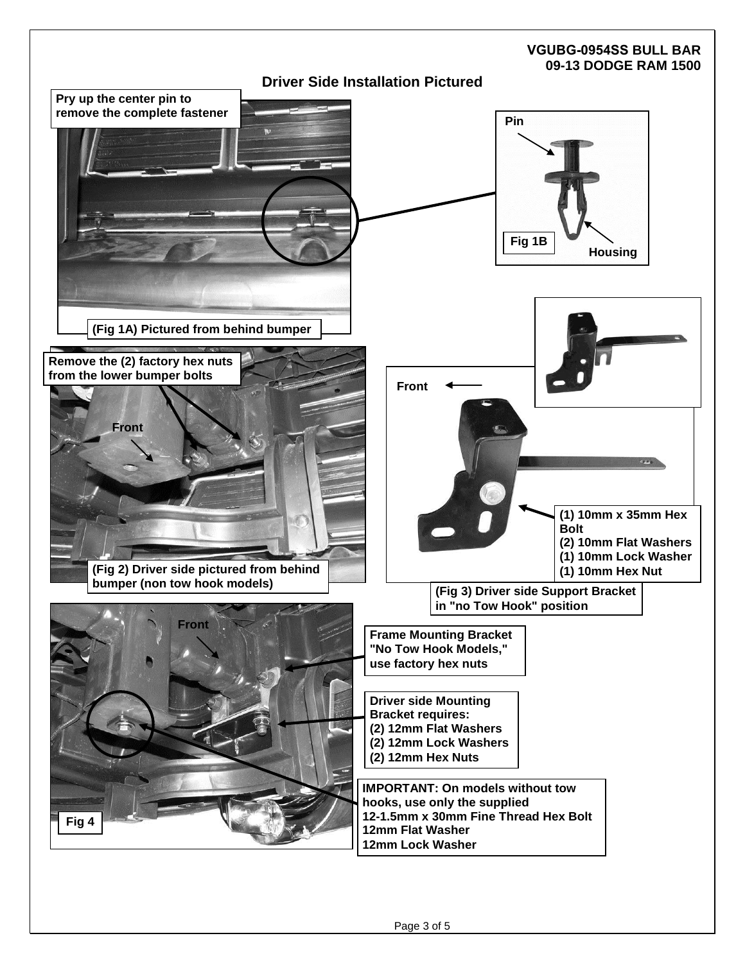# **VGUBG-0954SS BULL BAR 09-13 DODGE RAM 1500 Driver Side Installation Pictured Fig 1B Pin Housing IMPORTANT: On models without tow hooks, use only the supplied 12-1.5mm x 30mm Fine Thread Hex Bolt 12mm Flat Washer 12mm Lock Washer Frame Mounting Bracket "No Tow Hook Models," use factory hex nuts Pry up the center pin to remove the complete fastener (Fig 1A) Pictured from behind bumper (Fig 2) Driver side pictured from behind bumper (non tow hook models) Front Remove the (2) factory hex nuts from the lower bumper bolts (Fig 3) Driver side Support Bracket in "no Tow Hook" position Front (1) 10mm x 35mm Hex Bolt (2) 10mm Flat Washers (1) 10mm Lock Washer (1) 10mm Hex Nut Driver side Mounting Bracket requires: (2) 12mm Flat Washers (2) 12mm Lock Washers (2) 12mm Hex Nuts Front Fig 4**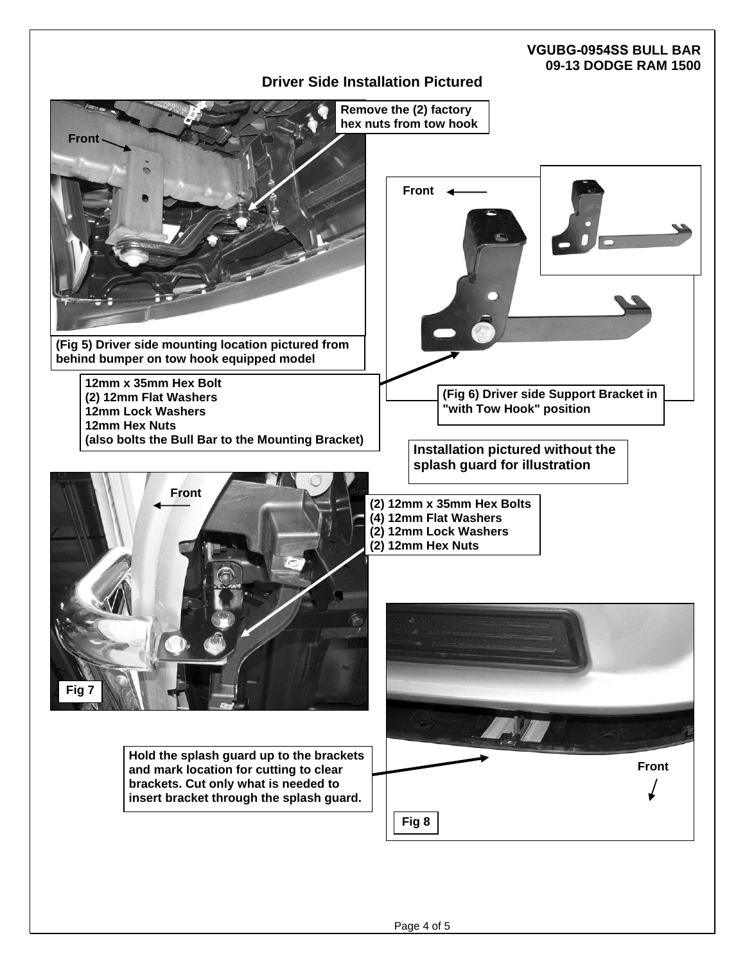## **Driver Side Installation Pictured**